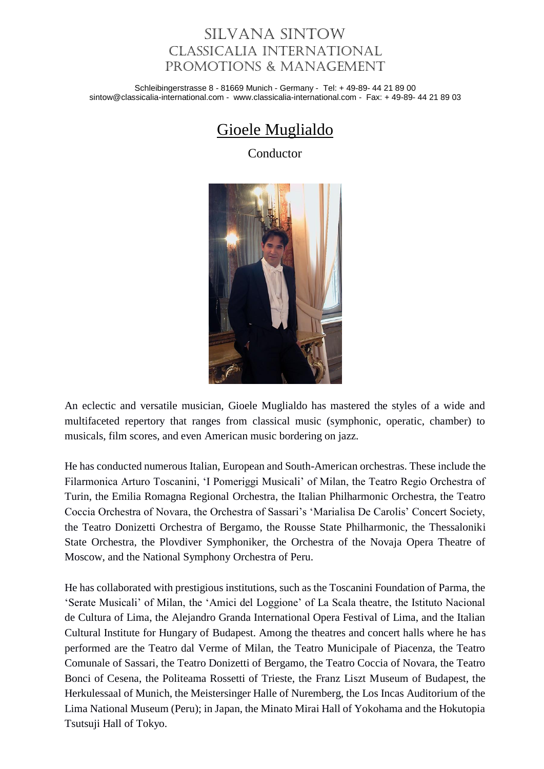## Silvana Sintow Classicalia International Promotions & Management

Schleibingerstrasse 8 - 81669 Munich - Germany - Tel: + 49-89- 44 21 89 00 sintow@classicalia-international.com - www.classicalia-international.com - Fax: + 49-89- 44 21 89 03

## Gioele Muglialdo

Conductor



An eclectic and versatile musician, Gioele Muglialdo has mastered the styles of a wide and multifaceted repertory that ranges from classical music (symphonic, operatic, chamber) to musicals, film scores, and even American music bordering on jazz.

He has conducted numerous Italian, European and South-American orchestras. These include the Filarmonica Arturo Toscanini, 'I Pomeriggi Musicali' of Milan, the Teatro Regio Orchestra of Turin, the Emilia Romagna Regional Orchestra, the Italian Philharmonic Orchestra, the Teatro Coccia Orchestra of Novara, the Orchestra of Sassari's 'Marialisa De Carolis' Concert Society, the Teatro Donizetti Orchestra of Bergamo, the Rousse State Philharmonic, the Thessaloniki State Orchestra, the Plovdiver Symphoniker, the Orchestra of the Novaja Opera Theatre of Moscow, and the National Symphony Orchestra of Peru.

He has collaborated with prestigious institutions, such as the Toscanini Foundation of Parma, the 'Serate Musicali' of Milan, the 'Amici del Loggione' of La Scala theatre, the Istituto Nacional de Cultura of Lima, the Alejandro Granda International Opera Festival of Lima, and the Italian Cultural Institute for Hungary of Budapest. Among the theatres and concert halls where he has performed are the Teatro dal Verme of Milan, the Teatro Municipale of Piacenza, the Teatro Comunale of Sassari, the Teatro Donizetti of Bergamo, the Teatro Coccia of Novara, the Teatro Bonci of Cesena, the Politeama Rossetti of Trieste, the Franz Liszt Museum of Budapest, the Herkulessaal of Munich, the Meistersinger Halle of Nuremberg, the Los Incas Auditorium of the Lima National Museum (Peru); in Japan, the Minato Mirai Hall of Yokohama and the Hokutopia Tsutsuji Hall of Tokyo.